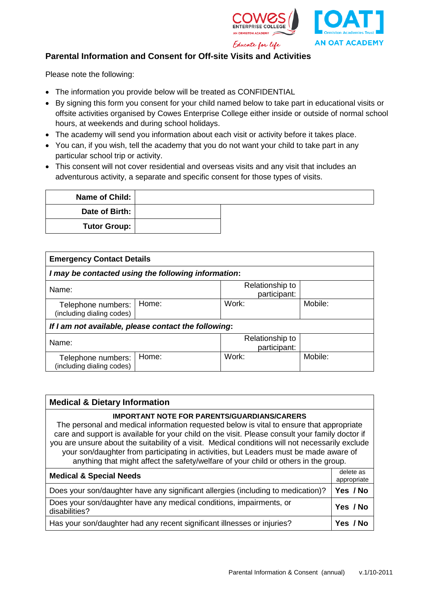



## **Parental Information and Consent for Off-site Visits and Activities**

Please note the following:

- The information you provide below will be treated as CONFIDENTIAL
- By signing this form you consent for your child named below to take part in educational visits or offsite activities organised by Cowes Enterprise College either inside or outside of normal school hours, at weekends and during school holidays.
- The academy will send you information about each visit or activity before it takes place.
- You can, if you wish, tell the academy that you do not want your child to take part in any particular school trip or activity.
- This consent will not cover residential and overseas visits and any visit that includes an adventurous activity, a separate and specific consent for those types of visits.

| Name of Child:      |  |
|---------------------|--|
| Date of Birth:      |  |
| <b>Tutor Group:</b> |  |

| <b>Emergency Contact Details</b>                     |       |                                 |         |  |  |
|------------------------------------------------------|-------|---------------------------------|---------|--|--|
| I may be contacted using the following information:  |       |                                 |         |  |  |
| Name:                                                |       | Relationship to<br>participant: |         |  |  |
| Telephone numbers:<br>(including dialing codes)      | Home: | Work:                           | Mobile: |  |  |
| If I am not available, please contact the following: |       |                                 |         |  |  |
| Name:                                                |       | Relationship to<br>participant: |         |  |  |
| Telephone numbers:<br>(including dialing codes)      | Home: | Work:                           | Mobile: |  |  |

| <b>Medical &amp; Dietary Information</b>                                                                                                                                                                                                                                                                                                                                                                                                                                                                                              |  |  |  |  |
|---------------------------------------------------------------------------------------------------------------------------------------------------------------------------------------------------------------------------------------------------------------------------------------------------------------------------------------------------------------------------------------------------------------------------------------------------------------------------------------------------------------------------------------|--|--|--|--|
| <b>IMPORTANT NOTE FOR PARENTS/GUARDIANS/CARERS</b><br>The personal and medical information requested below is vital to ensure that appropriate<br>care and support is available for your child on the visit. Please consult your family doctor if<br>you are unsure about the suitability of a visit. Medical conditions will not necessarily exclude<br>your son/daughter from participating in activities, but Leaders must be made aware of<br>anything that might affect the safety/welfare of your child or others in the group. |  |  |  |  |
| <b>Medical &amp; Special Needs</b>                                                                                                                                                                                                                                                                                                                                                                                                                                                                                                    |  |  |  |  |
| Does your son/daughter have any significant allergies (including to medication)?                                                                                                                                                                                                                                                                                                                                                                                                                                                      |  |  |  |  |
| Does your son/daughter have any medical conditions, impairments, or<br>disabilities?                                                                                                                                                                                                                                                                                                                                                                                                                                                  |  |  |  |  |
| Has your son/daughter had any recent significant illnesses or injuries?                                                                                                                                                                                                                                                                                                                                                                                                                                                               |  |  |  |  |